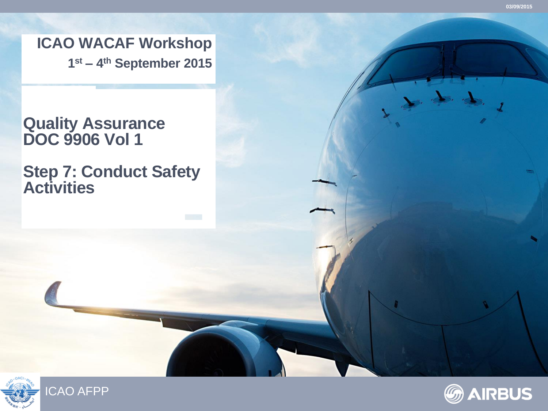**ICAO WACAF Workshop 1 st – 4 th September 2015**

### **Quality Assurance DOC 9906 Vol 1**

**Step 7: Conduct Safety Activities**







Froy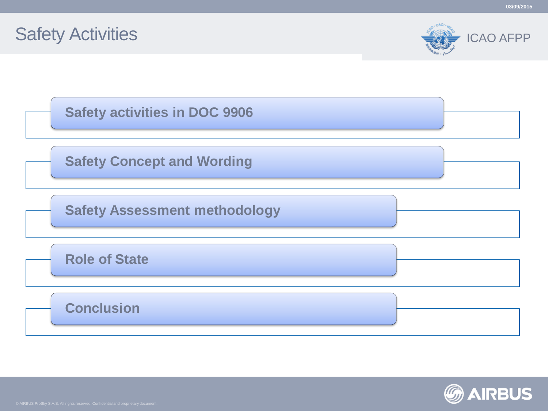

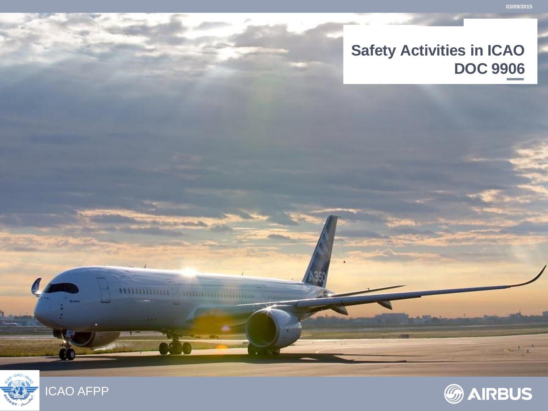### **Safety Activities in ICAO DOC 9906**



,,,,,,,,,,,,,,,,,

**A ANDERSON DESCRIPTION OF PERSONAL PROPERTY** 

**Hall** 

 $\mathbf{r} = \mathbf{r} + \mathbf{r}$ 

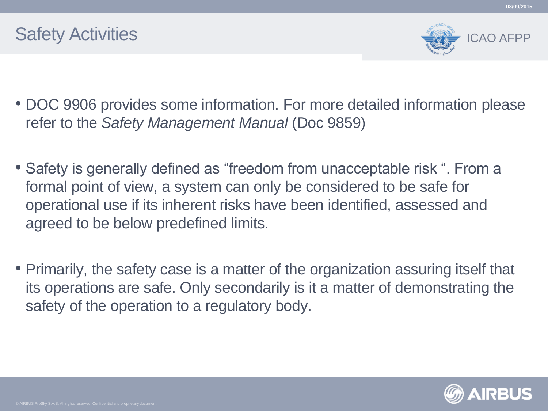

**03/09/2015**

- DOC 9906 provides some information. For more detailed information please refer to the *Safety Management Manual* (Doc 9859)
- Safety is generally defined as "freedom from unacceptable risk ". From a formal point of view, a system can only be considered to be safe for operational use if its inherent risks have been identified, assessed and agreed to be below predefined limits.
- Primarily, the safety case is a matter of the organization assuring itself that its operations are safe. Only secondarily is it a matter of demonstrating the safety of the operation to a regulatory body.

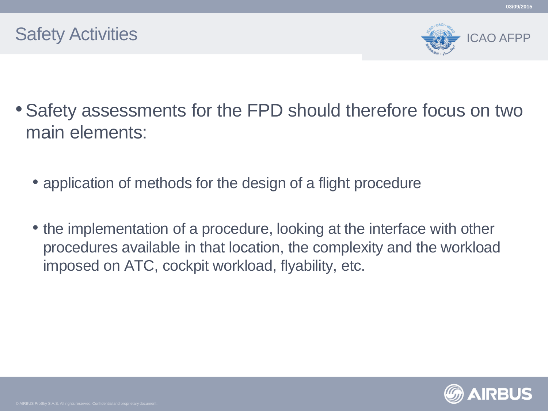

**03/09/2015**

- Safety assessments for the FPD should therefore focus on two main elements:
	- application of methods for the design of a flight procedure
	- the implementation of a procedure, looking at the interface with other procedures available in that location, the complexity and the workload imposed on ATC, cockpit workload, flyability, etc.

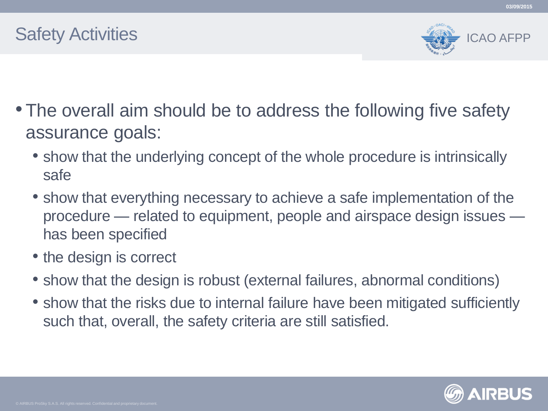



- The overall aim should be to address the following five safety assurance goals:
	- show that the underlying concept of the whole procedure is intrinsically safe
	- show that everything necessary to achieve a safe implementation of the procedure — related to equipment, people and airspace design issues has been specified
	- the design is correct
	- show that the design is robust (external failures, abnormal conditions)
	- show that the risks due to internal failure have been mitigated sufficiently such that, overall, the safety criteria are still satisfied.

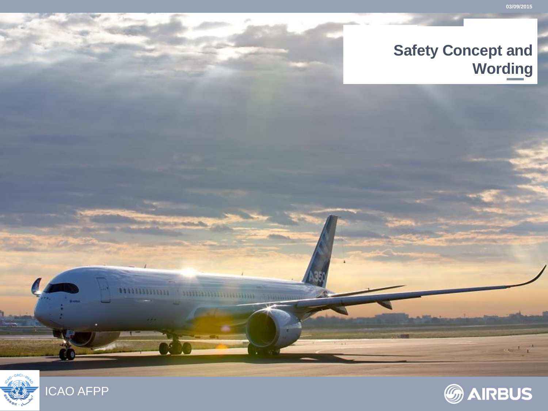### **Safety Concept and Wording**



1133311333

 $\mathbf{r} = \mathbf{r} + \mathbf{r}$ 

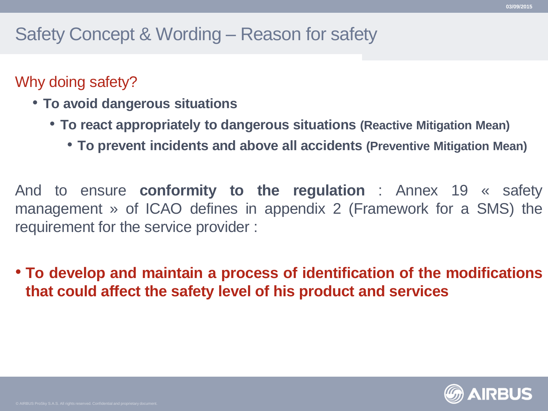### Safety Concept & Wording – Reason for safety

### Why doing safety?

- **To avoid dangerous situations**
	- **To react appropriately to dangerous situations (Reactive Mitigation Mean)**
		- **To prevent incidents and above all accidents (Preventive Mitigation Mean)**

And to ensure **conformity to the regulation** : Annex 19 « safety management » of ICAO defines in appendix 2 (Framework for a SMS) the requirement for the service provider :

• **To develop and maintain a process of identification of the modifications that could affect the safety level of his product and services**

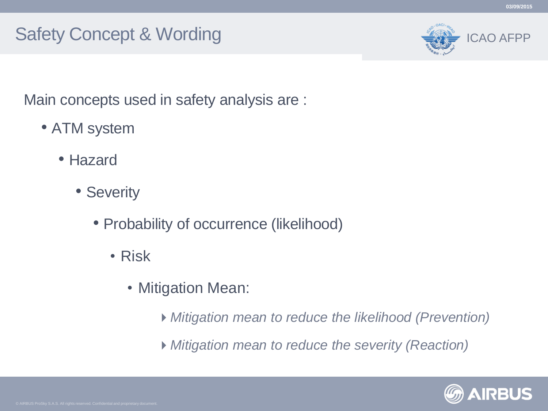### Safety Concept & Wording



Main concepts used in safety analysis are :

- ATM system
	- Hazard
		- Severity
			- Probability of occurrence (likelihood)
				- Risk
					- Mitigation Mean:
						- *Mitigation mean to reduce the likelihood (Prevention)*
						- *Mitigation mean to reduce the severity (Reaction)*

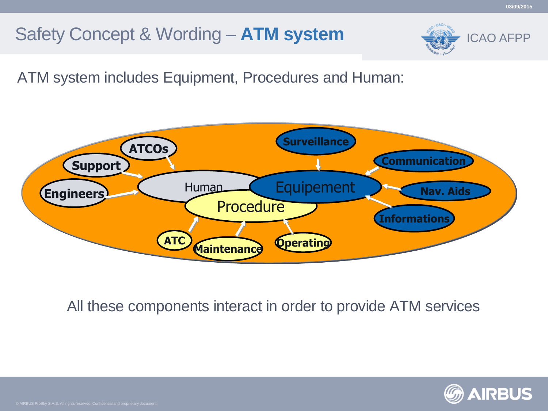# Safety Concept & Wording – **ATM system**



ATM system includes Equipment, Procedures and Human:



All these components interact in order to provide ATM services

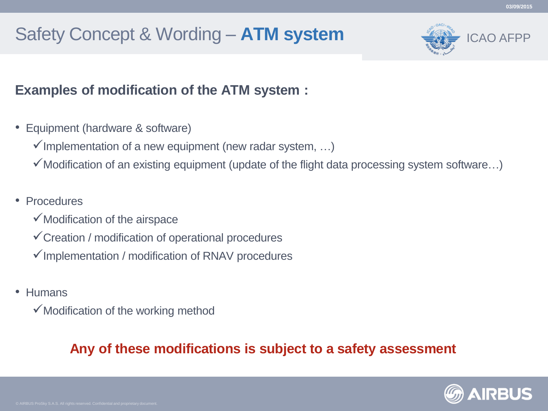# Safety Concept & Wording – **ATM system**



#### **Examples of modification of the ATM system :**

- Equipment (hardware & software)
	- $\checkmark$  Implementation of a new equipment (new radar system, ...)
	- $\checkmark$  Modification of an existing equipment (update of the flight data processing system software...)
- Procedures
	- $\checkmark$  Modification of the airspace
	- $\checkmark$  Creation / modification of operational procedures
	- $\checkmark$  Implementation / modification of RNAV procedures
- Humans
	- $\checkmark$  Modification of the working method

### **Any of these modifications is subject to a safety assessment**

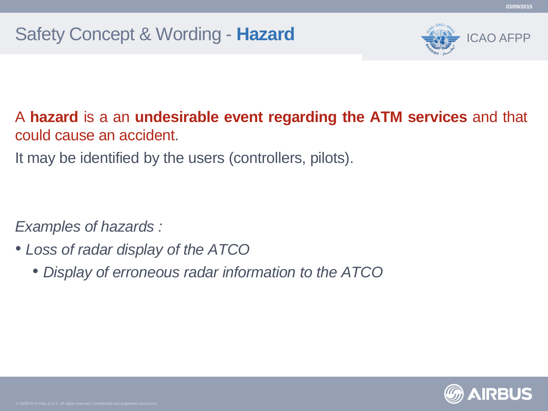

A **hazard** is a an **undesirable event regarding the ATM services** and that could cause an accident.

It may be identified by the users (controllers, pilots).

*Examples of hazards :*

- *Loss of radar display of the ATCO*
	- *Display of erroneous radar information to the ATCO*

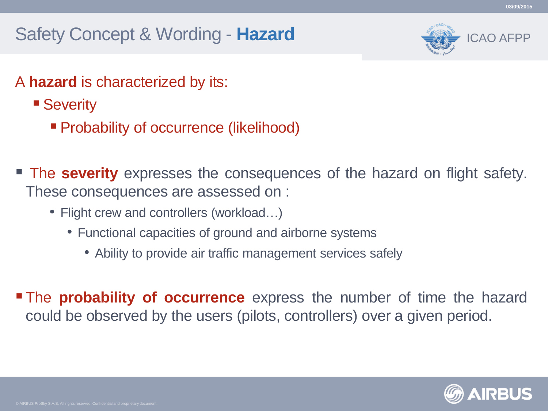# Safety Concept & Wording - **Hazard**



- A **hazard** is characterized by its:
	- Severity
		- Probability of occurrence (likelihood)
- **The severity** expresses the consequences of the hazard on flight safety. These consequences are assessed on :
	- Flight crew and controllers (workload...)
		- Functional capacities of ground and airborne systems
			- Ability to provide air traffic management services safely
- The **probability of occurrence** express the number of time the hazard could be observed by the users (pilots, controllers) over a given period.

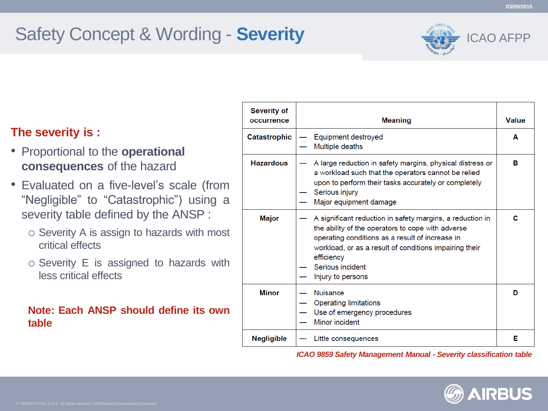ICAO AFPP

#### **The severity is :**

- Proportional to the **operational consequences** of the hazard
- Evaluated on a five-level's scale (from "Negligible" to "Catastrophic") using a severity table defined by the ANSP :
	- o Severity A is assign to hazards with most critical effects
	- o Severity E is assigned to hazards with less critical effects

#### **Note: Each ANSP should define its own table**

| <b>Severity of</b><br>occurrence | <b>Meaning</b>                                                                                                                                                                                                                                                                     | Value |
|----------------------------------|------------------------------------------------------------------------------------------------------------------------------------------------------------------------------------------------------------------------------------------------------------------------------------|-------|
| Catastrophic                     | Equipment destroyed<br>Multiple deaths                                                                                                                                                                                                                                             | A     |
| <b>Hazardous</b>                 | A large reduction in safety margins, physical distress or<br>a workload such that the operators cannot be relied<br>upon to perform their tasks accurately or completely<br>Serious injury<br>Major equipment damage                                                               | в     |
| <b>Major</b>                     | A significant reduction in safety margins, a reduction in<br>the ability of the operators to cope with adverse<br>operating conditions as a result of increase in<br>workload, or as a result of conditions impairing their<br>efficiency<br>Serious incident<br>Injury to persons | с     |
| <b>Minor</b>                     | <b>Nuisance</b><br><b>Operating limitations</b><br>Use of emergency procedures<br>Minor incident                                                                                                                                                                                   | D     |
| Negligible                       | Little consequences                                                                                                                                                                                                                                                                | Е     |

*ICAO 9859 Safety Management Manual - Severity classification table*

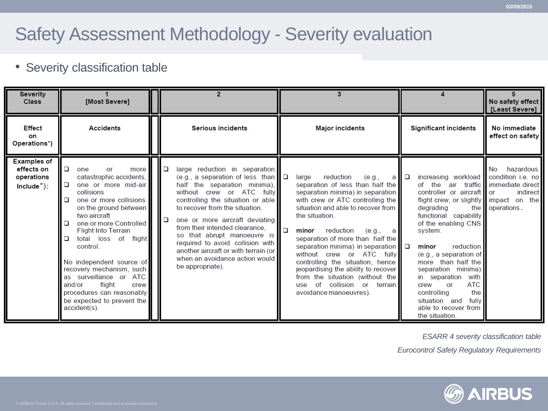### Safety Assessment Methodology - Severity evaluation

#### • Severity classification table

| <b>Severity</b><br><b>Class</b>                                 | [Most Severe]                                                                                                                                                                                                                                                                                                                                                                                                                                                           |             |                                                                                                                                                                                                                                                                                                                                                                                                                                                   |        | з                                                                                                                                                                                                                                                                                                                                                                                                                                                                                                                             |      |                                                                                                                                                                                                                                                                                                                                                                                                                                                                            | No safety effect<br>[Least Severe]             |
|-----------------------------------------------------------------|-------------------------------------------------------------------------------------------------------------------------------------------------------------------------------------------------------------------------------------------------------------------------------------------------------------------------------------------------------------------------------------------------------------------------------------------------------------------------|-------------|---------------------------------------------------------------------------------------------------------------------------------------------------------------------------------------------------------------------------------------------------------------------------------------------------------------------------------------------------------------------------------------------------------------------------------------------------|--------|-------------------------------------------------------------------------------------------------------------------------------------------------------------------------------------------------------------------------------------------------------------------------------------------------------------------------------------------------------------------------------------------------------------------------------------------------------------------------------------------------------------------------------|------|----------------------------------------------------------------------------------------------------------------------------------------------------------------------------------------------------------------------------------------------------------------------------------------------------------------------------------------------------------------------------------------------------------------------------------------------------------------------------|------------------------------------------------|
| <b>Effect</b><br>on<br>Operations*)                             | <b>Accidents</b>                                                                                                                                                                                                                                                                                                                                                                                                                                                        |             | <b>Serious incidents</b>                                                                                                                                                                                                                                                                                                                                                                                                                          |        | <b>Major incidents</b>                                                                                                                                                                                                                                                                                                                                                                                                                                                                                                        |      | <b>Significant incidents</b>                                                                                                                                                                                                                                                                                                                                                                                                                                               | No immediate<br>effect on safety               |
| <b>Examples of</b><br>effects on<br>operations<br>$include^*$ : | o<br>more<br>or<br>one<br>catastrophic accidents,<br>one or more mid-air<br>$\Box$<br>collisions<br>one or more collisions<br>▫<br>on the ground between<br>two aircraft<br>one or more Controlled<br>□<br><b>Flight Into Terrain</b><br>total loss of flight<br>o<br>control.<br>No independent source of<br>recovery mechanism, such<br>as surveillance or ATC<br>and/or<br>flight<br>crew<br>procedures can reasonably<br>be expected to prevent the<br>accident(s). | o<br>$\Box$ | large reduction in separation<br>(e.g., a separation of less than $\Box$<br>half the separation minima),<br>without crew or ATC fully<br>controlling the situation or able<br>to recover from the situation.<br>one or more aircraft deviating<br>from their intended clearance.<br>so that abrupt manoeuvre is<br>required to avoid collision with<br>another aircraft or with terrain (or<br>when an avoidance action would<br>be appropriate). | $\Box$ | large<br>reduction<br>(e.g.,<br>separation of less than half the<br>separation minima) in separation<br>with crew or ATC controlling the<br>situation and able to recover from<br>the situation.<br>reduction<br>minor<br>(e.g.,<br>a l<br>separation of more than half the<br>separation minima) in separation $\square$<br>without crew or ATC fully<br>controlling the situation, hence<br>jeopardising the ability to recover<br>from the situation (without the<br>use of collision or terrain<br>avoidance manoeuvres). | all⊡ | increasing workload condition i.e. no<br>of the air traffic immediate direct<br>controller or aircraft or<br>flight crew, or slightly impact on the<br>degrading<br>functional capability<br>of the enabling CNS<br>system.<br>reduction<br>minor<br>(e.g., a separation of<br>more than half the<br>separation minima)<br>in separation with<br><b>ATC</b><br>crew<br><b>or</b><br>the<br>controlling<br>fully<br>situation and<br>able to recover from<br>the situation. | hazardous<br>No<br>indirect<br>the operations. |

*ESARR 4 severity classification table*

*Eurocontrol Safety Regulatory Requirements* 

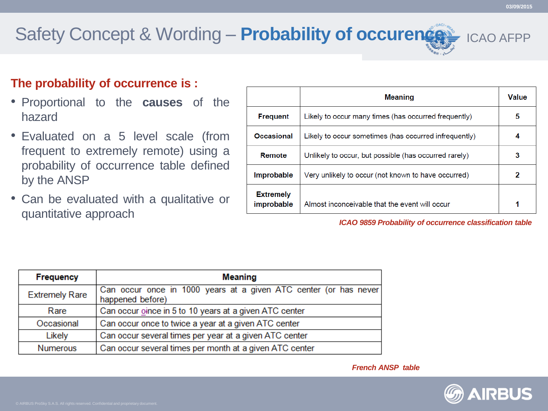# Safety Concept & Wording – **Probability of occurence**

#### **The probability of occurrence is :**

- Proportional to the **causes** of the hazard
- Evaluated on a 5 level scale (from frequent to extremely remote) using a probability of occurrence table defined by the ANSP
- Can be evaluated with a qualitative or quantitative approach

|                                | <b>Meaning</b>                                        | Value |
|--------------------------------|-------------------------------------------------------|-------|
| <b>Frequent</b>                | Likely to occur many times (has occurred frequently)  | 5     |
| <b>Occasional</b>              | Likely to occur sometimes (has occurred infrequently) | 4     |
| Remote                         | Unlikely to occur, but possible (has occurred rarely) | 3     |
| <b>Improbable</b>              | Very unlikely to occur (not known to have occurred)   | 2     |
| <b>Extremely</b><br>improbable | Almost inconceivable that the event will occur        |       |

*ICAO 9859 Probability of occurrence classification table*

| Frequency             | <b>Meaning</b>                                                                        |  |  |  |  |
|-----------------------|---------------------------------------------------------------------------------------|--|--|--|--|
| <b>Extremely Rare</b> | Can occur once in 1000 years at a given ATC center (or has never)<br>happened before) |  |  |  |  |
| Rare                  | Can occur oince in 5 to 10 years at a given ATC center                                |  |  |  |  |
| Occasional            | Can occur once to twice a year at a given ATC center                                  |  |  |  |  |
| Likely                | Can occur several times per year at a given ATC center                                |  |  |  |  |
| <b>Numerous</b>       | Can occur several times per month at a given ATC center                               |  |  |  |  |



ICAO AFPP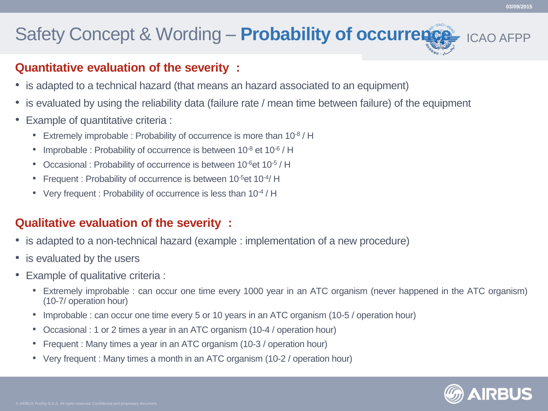### Safety Concept & Wording – **Probability of occurrence**

#### **Quantitative evaluation of the severity :**

- is adapted to a technical hazard (that means an hazard associated to an equipment)
- is evaluated by using the reliability data (failure rate / mean time between failure) of the equipment
- Example of quantitative criteria :
	- Extremely improbable : Probability of occurrence is more than 10-8 / H
	- Improbable : Probability of occurrence is between 10-8 et 10-6 / H
	- Occasional : Probability of occurrence is between 10<sup>-6</sup> et 10<sup>-5</sup> / H
	- Frequent : Probability of occurrence is between 10<sup>-5</sup> et 10<sup>-4</sup>/H
	- Very frequent : Probability of occurrence is less than 10-4 / H

#### **Qualitative evaluation of the severity :**

- is adapted to a non-technical hazard (example : implementation of a new procedure)
- is evaluated by the users
- Example of qualitative criteria :
	- Extremely improbable : can occur one time every 1000 year in an ATC organism (never happened in the ATC organism) (10-7/ operation hour)
	- Improbable : can occur one time every 5 or 10 years in an ATC organism (10-5 / operation hour)
	- Occasional : 1 or 2 times a year in an ATC organism (10-4 / operation hour)
	- Frequent : Many times a year in an ATC organism (10-3 / operation hour)
	- Very frequent : Many times a month in an ATC organism (10-2 / operation hour)

**03/09/2015**

ICAO AFPP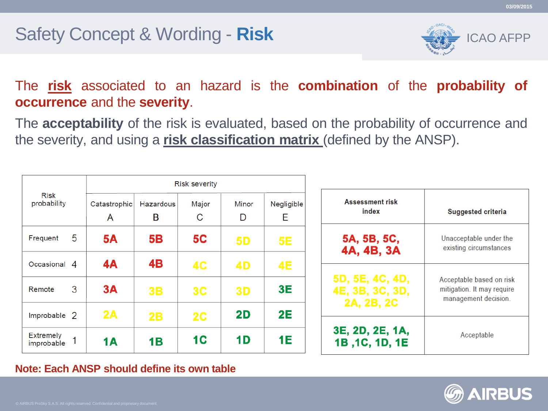### Safety Concept & Wording - **Risk**



The **risk** associated to an hazard is the **combination** of the **probability of occurrence** and the **severity**.

The **acceptability** of the risk is evaluated, based on the probability of occurrence and the severity, and using a **risk classification matrix** (defined by the ANSP).

| Risk<br>probability            |   | <b>Risk severity</b> |                       |            |            |                  |  |  |
|--------------------------------|---|----------------------|-----------------------|------------|------------|------------------|--|--|
|                                |   | Catastrophic<br>A    | <b>Hazardous</b><br>B | Major<br>С | Minor<br>D | Negligible<br>E. |  |  |
| Frequent                       | 5 | <b>5A</b>            | 5B                    | <b>5C</b>  | <b>5D</b>  | <b>5E</b>        |  |  |
| Occasional 4                   |   | 4A                   | 4B                    | <b>4C</b>  | 4D         | <b>4E</b>        |  |  |
| Remote                         | 3 | 3A                   | <b>3B</b>             | 3C         | <b>3D</b>  | 3E               |  |  |
| Improbable 2                   |   | 2A                   | 2B                    | 2C         | 2D         | 2E               |  |  |
| <b>Extremely</b><br>improbable |   | 1A                   | 1B                    | <b>1C</b>  | 1D         | 1E               |  |  |

| <b>Assessment risk</b><br>index   | <b>Suggested criteria</b>  |
|-----------------------------------|----------------------------|
| 5A, 5B, 5C,                       | Unacceptable under the     |
| 4A, 4B, 3A                        | existing circumstances     |
| 5D, 5E, 4C, 4D,                   | Acceptable based on risk   |
| 4E, 3B, 3C, 3D,                   | mitigation. It may require |
| 2A, 2B, 2C                        | management decision.       |
| 3E, 2D, 2E, 1A,<br>1B, 1C, 1D, 1E | Acceptable                 |

#### **Note: Each ANSP should define its own table**

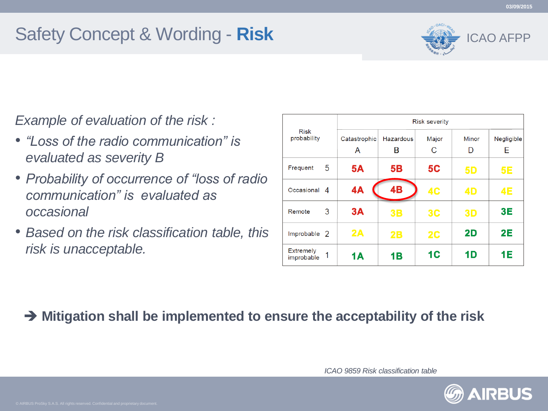# Safety Concept & Wording - **Risk**



*Example of evaluation of the risk :*

- *"Loss of the radio communication" is evaluated as severity B*
- *Probability of occurrence of "loss of radio communication" is evaluated as occasional*
- *Based on the risk classification table, this risk is unacceptable.*

|                                     | <b>Risk severity</b> |           |                |           |            |  |  |
|-------------------------------------|----------------------|-----------|----------------|-----------|------------|--|--|
| Risk<br>probability                 | Catastrophic         | Hazardous | Major          | Minor     | Negligible |  |  |
|                                     | A                    | в         | C              | D         | E          |  |  |
| 5<br>Frequent                       | <b>5A</b>            | <b>5B</b> | <b>5C</b>      | <b>5D</b> | 5E         |  |  |
| Occasional<br>$\overline{A}$        | 4A                   | <b>4B</b> | 4 <sub>C</sub> | 4D        | 4E         |  |  |
| 3<br>Remote                         | 3A                   | 3B        | 3C             | 3D        | 3E         |  |  |
| Improbable 2                        | 2A                   | 2B        | 2C             | 2D        | <b>2E</b>  |  |  |
| <b>Extremely</b><br>1<br>improbable | <b>1A</b>            | 1B        | 1 <sup>C</sup> | 1D        | 1E         |  |  |

#### **Mitigation shall be implemented to ensure the acceptability of the risk**

*ICAO 9859 Risk classification table*

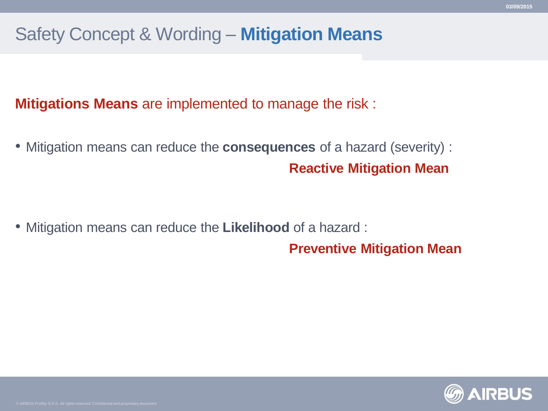## Safety Concept & Wording – **Mitigation Means**

**Mitigations Means** are implemented to manage the risk :

• Mitigation means can reduce the **consequences** of a hazard (severity) : **Reactive Mitigation Mean**

• Mitigation means can reduce the **Likelihood** of a hazard :

**Preventive Mitigation Mean**

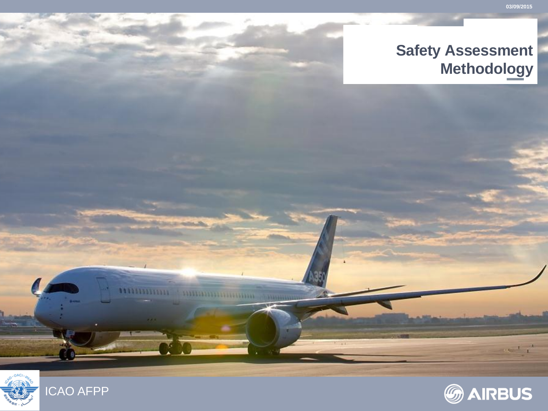### **Safety Assessment Methodology**



,,,,,,,,,,,,,,,,,

**A TALLARD A DELIVERED IN** 

5333

 $\mathbf{r} = \mathbf{r} + \mathbf{r}$ 

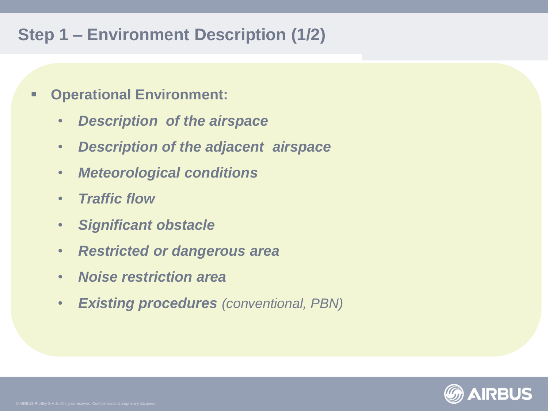### **Step 1 – Environment Description (1/2)**

- **Operational Environment:**
	- *Description of the airspace*
	- *Description of the adjacent airspace*
	- *Meteorological conditions*
	- *Traffic flow*
	- *Significant obstacle*
	- *Restricted or dangerous area*
	- *Noise restriction area*
	- *Existing procedures (conventional, PBN)*

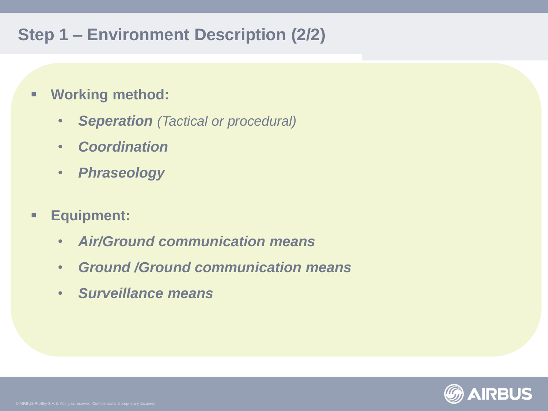### **Step 1 – Environment Description (2/2)**

- **Working method:**
	- *Seperation (Tactical or procedural)*
	- *Coordination*
	- *Phraseology*
- **Equipment:**
	- *Air/Ground communication means*
	- *Ground /Ground communication means*
	- *Surveillance means*

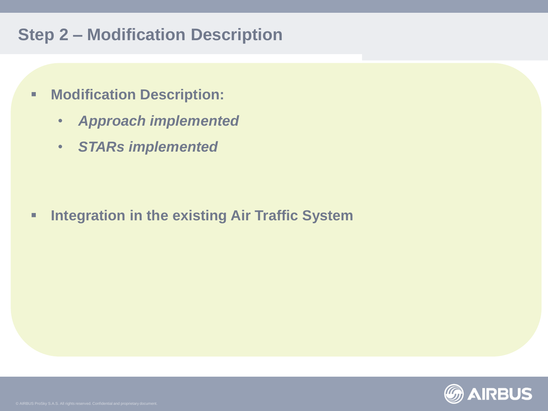### **Step 2 – Modification Description**

- **Modification Description:**
	- *Approach implemented*
	- *STARs implemented*

**Integration in the existing Air Traffic System**

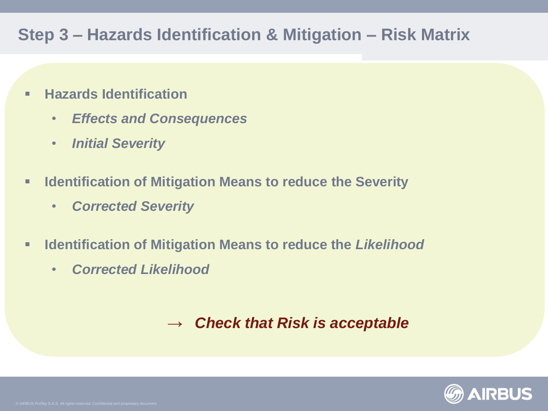### **Step 3 – Hazards Identification & Mitigation – Risk Matrix**

- **Hazards Identification** 
	- *Effects and Consequences*
	- *Initial Severity*
- **IDENTIFICATE IS NUTTED IN IS NUTTED IN IS SEAR THE SEARTH IS SEVERTLY** 
	- *Corrected Severity*
- **Identification of Mitigation Means to reduce the** *Likelihood*
	- *Corrected Likelihood*

### *→ Check that Risk is acceptable*

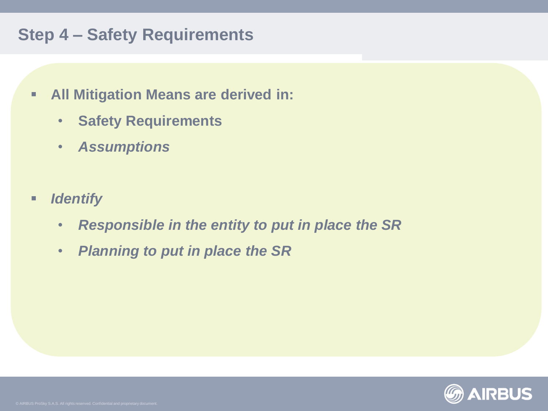### **Step 4 – Safety Requirements**

- **All Mitigation Means are derived in:**
	- **Safety Requirements**
	- *Assumptions*
- **F** *Identify* 
	- *Responsible in the entity to put in place the SR*
	- *Planning to put in place the SR*

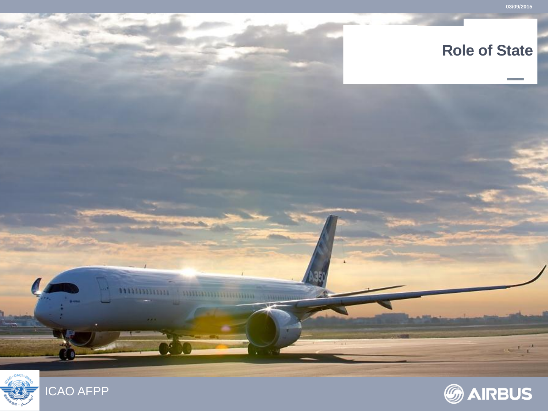

### **Role of State**



1133311331

 $\frac{1}{1+1}$ 

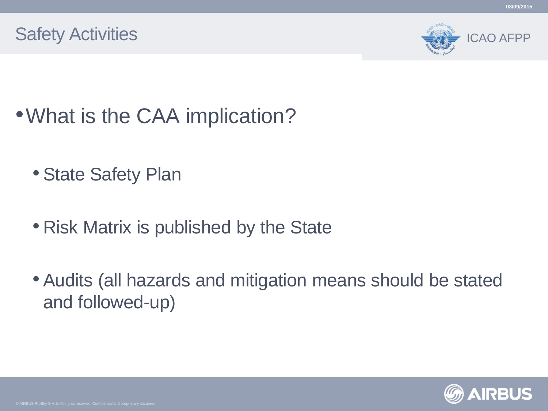



- What is the CAA implication?
	- State Safety Plan
	- Risk Matrix is published by the State
	- Audits (all hazards and mitigation means should be stated and followed-up)

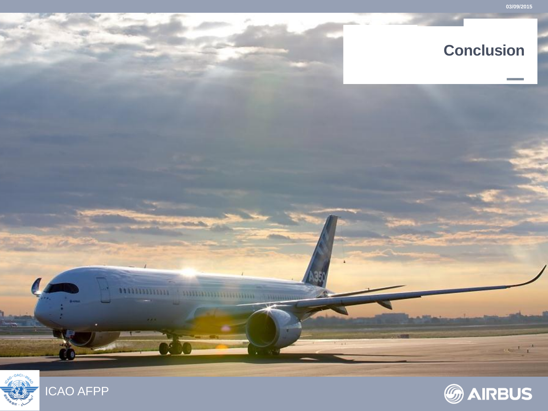

### **Conclusion**

ICAO AFPP

,,,,,,,,,,,,,,,,,

*<u>A THURBITION INTO THE TELL ATTORNA</u>* 

**COMMA** 

 $\frac{1}{1+1}$